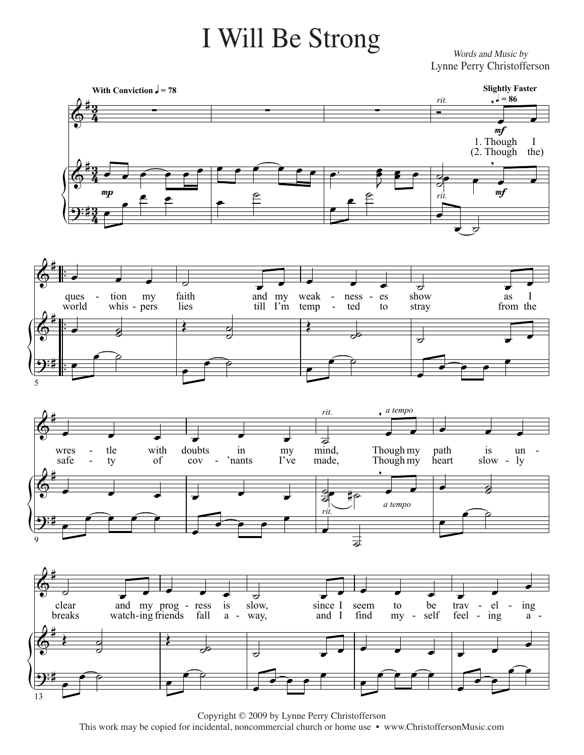## $\rm I$  Will Be Strong  $\rm_{Words\ and\ Music\ by}$

Words and Music by Lynne Perry Christofferson Lynne Perry Christofferson



Copyright © 2009 by Lynne Perry Christofferson Copyright © 2009 by Lynne Perry Christofferson This work may be copied for incidental, noncommercial church or home use • www.ChristoffersonMusic.com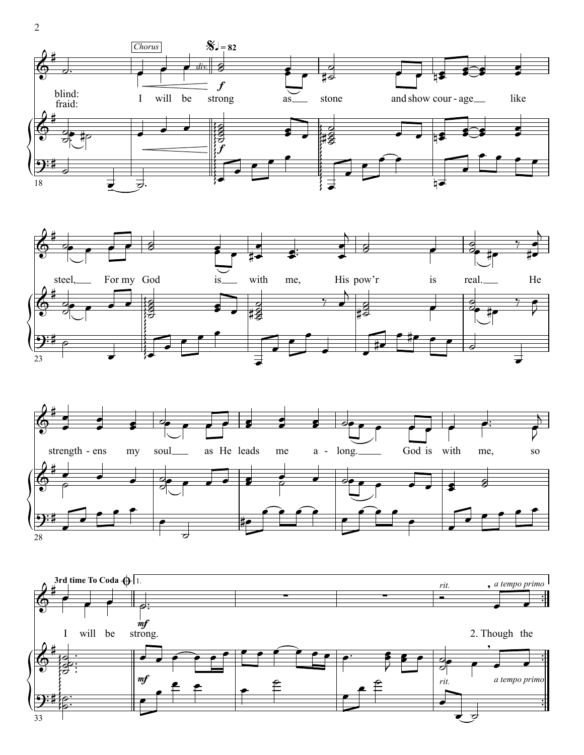